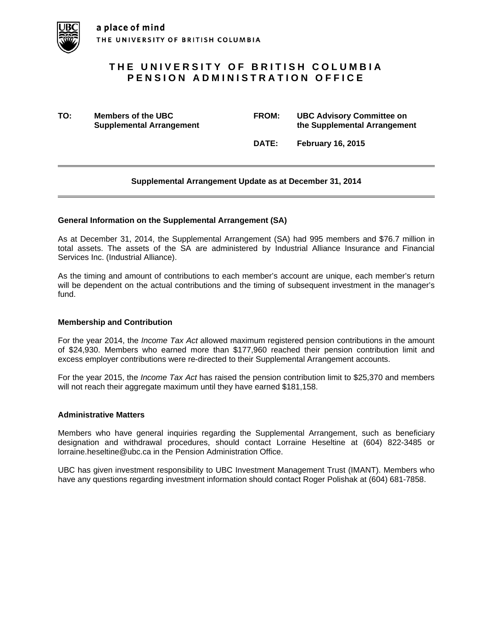

# **THE UNIVERSITY OF BRITISH COLUMBIA PENSION ADMINISTRATION OFFICE**

**TO: Members of the UBC FROM: UBC Advisory Committee on Supplemental Arrangement 12 Consumer 12 Consumer 12 Consumer 12 Consumer 12 Consumer 12 Consumer 12 Consumer 12 Consumer 12 Consumer 12 Consumer 12 Consumer 12 Consumer 12 Consumer 12 Consumer 12 Consumer 12 Consumer 12 C** 

 **DATE: February 16, 2015** 

## **Supplemental Arrangement Update as at December 31, 2014**

#### **General Information on the Supplemental Arrangement (SA)**

As at December 31, 2014, the Supplemental Arrangement (SA) had 995 members and \$76.7 million in total assets. The assets of the SA are administered by Industrial Alliance Insurance and Financial Services Inc. (Industrial Alliance).

As the timing and amount of contributions to each member's account are unique, each member's return will be dependent on the actual contributions and the timing of subsequent investment in the manager's fund.

#### **Membership and Contribution**

For the year 2014, the *Income Tax Act* allowed maximum registered pension contributions in the amount of \$24,930. Members who earned more than \$177,960 reached their pension contribution limit and excess employer contributions were re-directed to their Supplemental Arrangement accounts.

For the year 2015, the *Income Tax Act* has raised the pension contribution limit to \$25,370 and members will not reach their aggregate maximum until they have earned \$181,158.

#### **Administrative Matters**

Members who have general inquiries regarding the Supplemental Arrangement, such as beneficiary designation and withdrawal procedures, should contact Lorraine Heseltine at (604) 822-3485 or lorraine.heseltine@ubc.ca in the Pension Administration Office.

UBC has given investment responsibility to UBC Investment Management Trust (IMANT). Members who have any questions regarding investment information should contact Roger Polishak at (604) 681-7858.